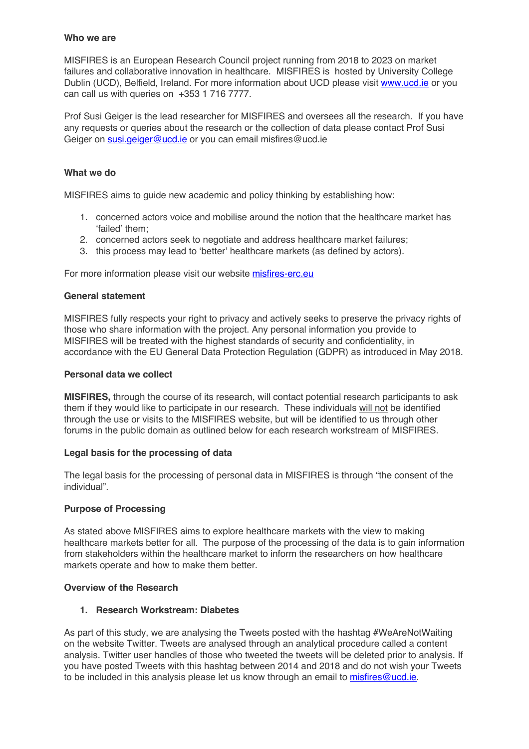### **Who we are**

MISFIRES is an European Research Council project running from 2018 to 2023 on market failures and collaborative innovation in healthcare. MISFIRES is hosted by University College Dublin (UCD), Belfield, Ireland. For more information about UCD please visit www.ucd.ie or you can call us with queries on +353 1 716 7777.

Prof Susi Geiger is the lead researcher for MISFIRES and oversees all the research. If you have any requests or queries about the research or the collection of data please contact Prof Susi Geiger on susi.geiger@ucd.ie or you can email misfires@ucd.ie

### **What we do**

MISFIRES aims to guide new academic and policy thinking by establishing how:

- 1. concerned actors voice and mobilise around the notion that the healthcare market has 'failed' them;
- 2. concerned actors seek to negotiate and address healthcare market failures;
- 3. this process may lead to 'better' healthcare markets (as defined by actors).

For more information please visit our website misfires-erc.eu

### **General statement**

MISFIRES fully respects your right to privacy and actively seeks to preserve the privacy rights of those who share information with the project. Any personal information you provide to MISFIRES will be treated with the highest standards of security and confidentiality, in accordance with the EU General Data Protection Regulation (GDPR) as introduced in May 2018.

#### **Personal data we collect**

**MISFIRES,** through the course of its research, will contact potential research participants to ask them if they would like to participate in our research. These individuals will not be identified through the use or visits to the MISFIRES website, but will be identified to us through other forums in the public domain as outlined below for each research workstream of MISFIRES.

### **Legal basis for the processing of data**

The legal basis for the processing of personal data in MISFIRES is through "the consent of the individual".

### **Purpose of Processing**

As stated above MISFIRES aims to explore healthcare markets with the view to making healthcare markets better for all. The purpose of the processing of the data is to gain information from stakeholders within the healthcare market to inform the researchers on how healthcare markets operate and how to make them better.

### **Overview of the Research**

### **1. Research Workstream: Diabetes**

As part of this study, we are analysing the Tweets posted with the hashtag #WeAreNotWaiting on the website Twitter. Tweets are analysed through an analytical procedure called a content analysis. Twitter user handles of those who tweeted the tweets will be deleted prior to analysis. If you have posted Tweets with this hashtag between 2014 and 2018 and do not wish your Tweets to be included in this analysis please let us know through an email to misfires@ucd.ie.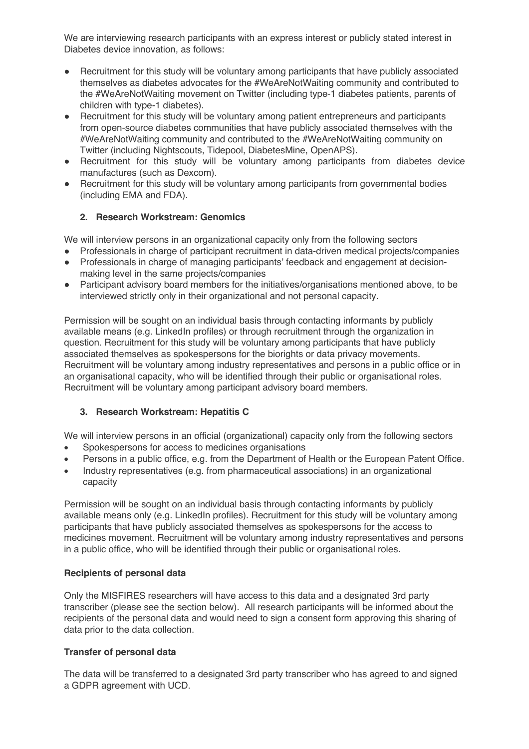We are interviewing research participants with an express interest or publicly stated interest in Diabetes device innovation, as follows:

- Recruitment for this study will be voluntary among participants that have publicly associated themselves as diabetes advocates for the #WeAreNotWaiting community and contributed to the #WeAreNotWaiting movement on Twitter (including type-1 diabetes patients, parents of children with type-1 diabetes).
- Recruitment for this study will be voluntary among patient entrepreneurs and participants from open-source diabetes communities that have publicly associated themselves with the #WeAreNotWaiting community and contributed to the #WeAreNotWaiting community on Twitter (including Nightscouts, Tidepool, DiabetesMine, OpenAPS).
- Recruitment for this study will be voluntary among participants from diabetes device manufactures (such as Dexcom).
- Recruitment for this study will be voluntary among participants from governmental bodies (including EMA and FDA).

# **2. Research Workstream: Genomics**

We will interview persons in an organizational capacity only from the following sectors

- Professionals in charge of participant recruitment in data-driven medical projects/companies
- Professionals in charge of managing participants' feedback and engagement at decisionmaking level in the same projects/companies
- Participant advisory board members for the initiatives/organisations mentioned above, to be interviewed strictly only in their organizational and not personal capacity.

Permission will be sought on an individual basis through contacting informants by publicly available means (e.g. LinkedIn profiles) or through recruitment through the organization in question. Recruitment for this study will be voluntary among participants that have publicly associated themselves as spokespersons for the biorights or data privacy movements. Recruitment will be voluntary among industry representatives and persons in a public office or in an organisational capacity, who will be identified through their public or organisational roles. Recruitment will be voluntary among participant advisory board members.

# **3. Research Workstream: Hepatitis C**

We will interview persons in an official (organizational) capacity only from the following sectors

- Spokespersons for access to medicines organisations
- Persons in a public office, e.g. from the Department of Health or the European Patent Office.
- Industry representatives (e.g. from pharmaceutical associations) in an organizational capacity

Permission will be sought on an individual basis through contacting informants by publicly available means only (e.g. LinkedIn profiles). Recruitment for this study will be voluntary among participants that have publicly associated themselves as spokespersons for the access to medicines movement. Recruitment will be voluntary among industry representatives and persons in a public office, who will be identified through their public or organisational roles.

# **Recipients of personal data**

Only the MISFIRES researchers will have access to this data and a designated 3rd party transcriber (please see the section below). All research participants will be informed about the recipients of the personal data and would need to sign a consent form approving this sharing of data prior to the data collection.

# **Transfer of personal data**

The data will be transferred to a designated 3rd party transcriber who has agreed to and signed a GDPR agreement with UCD.